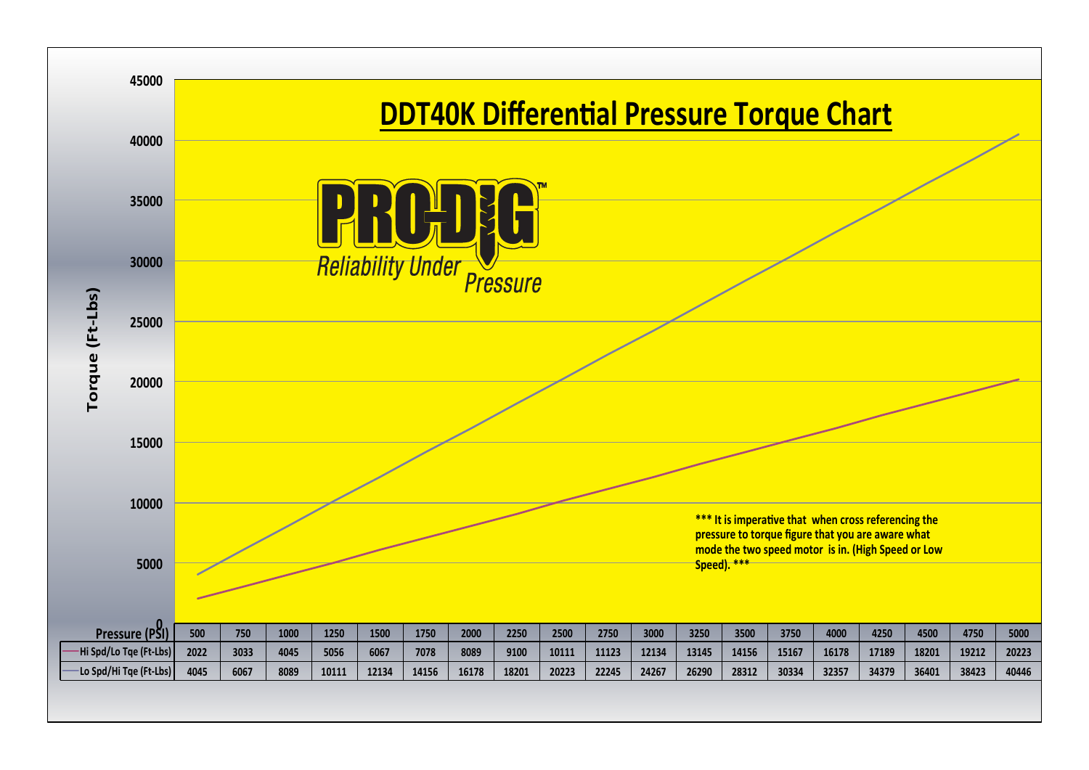